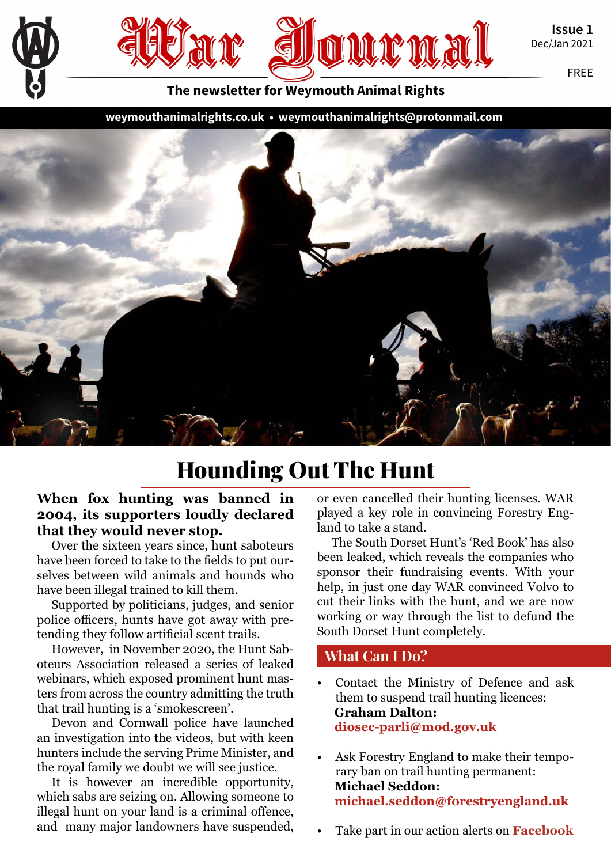

Issue 1 Dec/Jan 2021

FREE

The newsletter for Weymouth Animal Rights

[weymouthanimalrights.co.uk](http://weymouthanimalrights.co.uk) • [weymouthanimalrights@ protonmail.com](mailto:weymouthanimalrights%40protonmail.com?subject=)



# Hounding Out The Hunt

#### **When fox hunting was banned in 2004, its supporters loudly declared that they would never stop.**

Over the sixteen years since, hunt saboteurs have been forced to take to the fields to put ourselves between wild animals and hounds who have been illegal trained to kill them.

Supported by politicians, judges, and senior police officers, hunts have got away with pretending they follow artificial scent trails.

However, in November 2020, the Hunt Saboteurs Association released a series of leaked webinars, which exposed prominent hunt masters from across the country admitting the truth that trail hunting is a 'smokescreen'.

Devon and Cornwall police have launched an investigation into the videos, but with keen hunters include the serving Prime Minister, and the royal family we doubt we will see justice.

It is however an incredible opportunity, which sabs are seizing on. Allowing someone to illegal hunt on your land is a criminal offence, and many major landowners have suspended,

or even cancelled their hunting licenses. WAR played a key role in convincing Forestry England to take a stand.

The South Dorset Hunt's 'Red Book' has also been leaked, which reveals the companies who sponsor their fundraising events. With your help, in just one day WAR convinced Volvo to cut their links with the hunt, and we are now working or way through the list to defund the South Dorset Hunt completely.

#### What Can I Do?

- Contact the Ministry of Defence and ask them to suspend trail hunting licences: **Graham Dalton: [diosec-parli@mod.gov.uk](mailto:diosec-parli%40mod.gov.uk?subject=)**
- Ask Forestry England to make their temporary ban on trail hunting permanent: **Michael Seddon: [michael.seddon@forestryengland.uk](mailto:michael.seddon%40forestryengland.uk?subject=)**
- Take part in our action alerts on **[Facebook](http://Facebook.com/weymouthanimalrights)**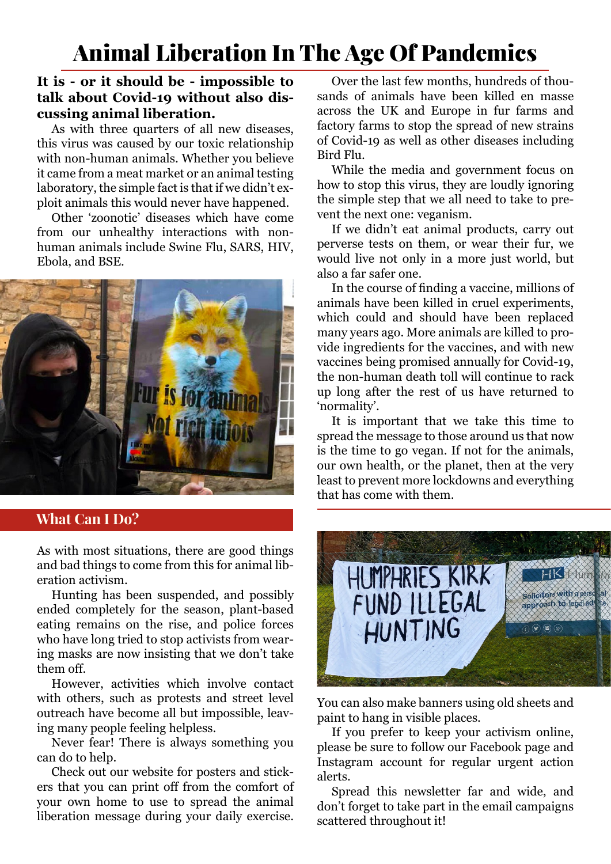# Animal Liberation In The Age Of Pandemics

#### **It is - or it should be - impossible to talk about Covid-19 without also discussing animal liberation.**

As with three quarters of all new diseases, this virus was caused by our toxic relationship with non-human animals. Whether you believe it came from a meat market or an animal testing laboratory, the simple fact is that if we didn't exploit animals this would never have happened.

Other 'zoonotic' diseases which have come from our unhealthy interactions with nonhuman animals include Swine Flu, SARS, HIV, Ebola, and BSE.



#### What Can I Do?

As with most situations, there are good things and bad things to come from this for animal liberation activism.

Hunting has been suspended, and possibly ended completely for the season, plant-based eating remains on the rise, and police forces who have long tried to stop activists from wearing masks are now insisting that we don't take them off.

However, activities which involve contact with others, such as protests and street level outreach have become all but impossible, leaving many people feeling helpless.

Never fear! There is always something you can do to help.

Check out our website for posters and stickers that you can print off from the comfort of your own home to use to spread the animal liberation message during your daily exercise.

Over the last few months, hundreds of thousands of animals have been killed en masse across the UK and Europe in fur farms and factory farms to stop the spread of new strains of Covid-19 as well as other diseases including Bird Flu.

While the media and government focus on how to stop this virus, they are loudly ignoring the simple step that we all need to take to prevent the next one: veganism.

If we didn't eat animal products, carry out perverse tests on them, or wear their fur, we would live not only in a more just world, but also a far safer one.

In the course of finding a vaccine, millions of animals have been killed in cruel experiments, which could and should have been replaced many years ago. More animals are killed to provide ingredients for the vaccines, and with new vaccines being promised annually for Covid-19, the non-human death toll will continue to rack up long after the rest of us have returned to 'normality'.

It is important that we take this time to spread the message to those around us that now is the time to go vegan. If not for the animals, our own health, or the planet, then at the very least to prevent more lockdowns and everything that has come with them.



You can also make banners using old sheets and paint to hang in visible places.

If you prefer to keep your activism online, please be sure to follow our Facebook page and Instagram account for regular urgent action alerts.

Spread this newsletter far and wide, and don't forget to take part in the email campaigns scattered throughout it!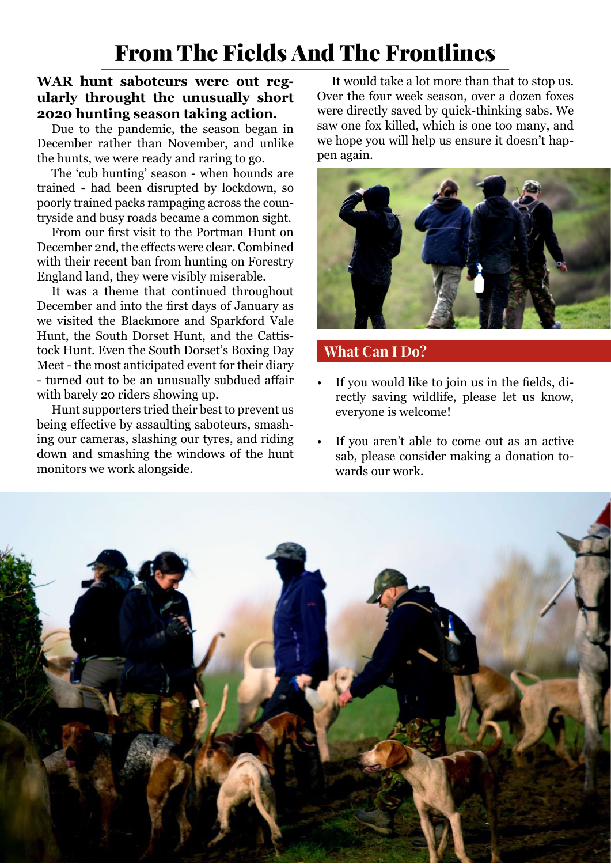# From The Fields And The Frontlines

#### **WAR hunt saboteurs were out regularly throught the unusually short 2020 hunting season taking action.**

Due to the pandemic, the season began in December rather than November, and unlike the hunts, we were ready and raring to go.

The 'cub hunting' season - when hounds are trained - had been disrupted by lockdown, so poorly trained packs rampaging across the countryside and busy roads became a common sight.

From our first visit to the Portman Hunt on December 2nd, the effects were clear. Combined with their recent ban from hunting on Forestry England land, they were visibly miserable.

It was a theme that continued throughout December and into the first days of January as we visited the Blackmore and Sparkford Vale Hunt, the South Dorset Hunt, and the Cattistock Hunt. Even the South Dorset's Boxing Day Meet - the most anticipated event for their diary - turned out to be an unusually subdued affair with barely 20 riders showing up.

Hunt supporters tried their best to prevent us being effective by assaulting saboteurs, smashing our cameras, slashing our tyres, and riding down and smashing the windows of the hunt monitors we work alongside.

It would take a lot more than that to stop us. Over the four week season, over a dozen foxes were directly saved by quick-thinking sabs. We saw one fox killed, which is one too many, and we hope you will help us ensure it doesn't happen again.



#### What Can I Do?

- If you would like to join us in the fields, directly saving wildlife, please let us know, everyone is welcome!
- If you aren't able to come out as an active sab, please consider making a donation towards our work.